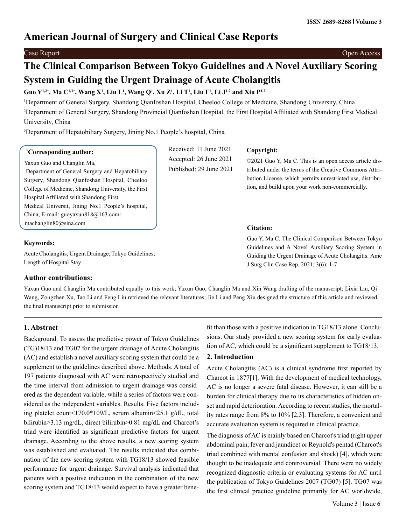# **American Journal of Surgery and Clinical Case Reports**

Case Report Open Access

# **The Clinical Comparison Between Tokyo Guidelines and A Novel Auxiliary Scoring System in Guiding the Urgent Drainage of Acute Cholangitis**

# **Guo Y1,2\*, Ma C1,3\*, Wang X1 , Liu L1 , Wang Q1 , Xu Z1 , Li T1 , Liu F1 , Li J1,2 and Xiu P1,2**

1 Department of General Surgery, Shandong Qianfoshan Hospital, Cheeloo College of Medicine, Shandong University, China 2 Department of General Surgery, Shandong Provincial Qianfoshan Hospital, the First Hospital Affiliated with Shandong First Medical University, China

> Received: 11 June 2021 Accepted: 26 June 2021 Published: 29 June 2021

**Copyright:**

**Citation:** 

©2021 Guo Y, Ma C. This is an open access article distributed under the terms of the Creative Commons Attribution License, which permits unrestricted use, distribution, and build upon your work non-commercially.

Guo Y, Ma C. The Clinical Comparison Between Tokyo Guidelines and A Novel Auxiliary Scoring System in Guiding the Urgent Drainage of Acute Cholangitis. Ame

<sup>3</sup>Department of Hepatobiliary Surgery, Jining No.1 People's hospital, China

#### **\* Corresponding author:**

Yaxun Guo and Changlin Ma, Department of General Surgery and Hepatobiliary Surgery, Shandong Qianfoshan Hospital, Cheeloo College of Medicine, Shandong University, the First Hospital Affiliated with Shandong First Medical Universit, Jining No.1 People's hospital, China, E-mail: guoyaxun818@163.com: machanglin80@sina.com

#### **Keywords:**

Acute Cholangitis; Urgent Drainage; Tokyo Guidelines; Length of Hospital Stay

### **Author contributions:**

Yaxun Guo and Changlin Ma contributed equally to this work; Yaxun Guo, Changlin Ma and Xin Wang drafting of the manuscript; Lixia Liu, Qi Wang, Zongzhen Xu, Tao Li and Feng Liu retrieved the relevant literatures; Jie Li and Peng Xiu designed the structure of this article and reviewed the final manuscript prior to submission

## **1. Abstract**

Background. To assess the predictive power of Tokyo Guidelines (TG)18/13 and TG07 for the urgent drainage of Acute Cholangitis (AC) and establish a novel auxiliary scoring system that could be a supplement to the guidelines described above. Methods. A total of 197 patients diagnosed with AC were retrospectively studied and the time interval from admission to urgent drainage was considered as the dependent variable, while a series of factors were considered as the independent variables. Results. Five factors including platelet count<170.0\*109/L, serum albumin<25.1 g/dL, total bilirubin>3.13 mg/dL, direct bilirubin>0.81 mg/dL and Charcot's triad were identified as significant predictive factors for urgent drainage. According to the above results, a new scoring system was established and evaluated. The results indicated that combination of the new scoring system with TG18/13 showed feasible performance for urgent drainage. Survival analysis indicated that patients with a positive indication in the combination of the new scoring system and TG18/13 would expect to have a greater benefit than those with a positive indication in TG18/13 alone. Conclusions. Our study provided a new scoring system for early evalua-

tion of AC, which could be a significant supplement to TG18/13.

J Surg Clin Case Rep. 2021; 3(6): 1-7

## **2. Introduction**

Acute Cholangitis (AC) is a clinical syndrome first reported by Charcot in 1877[1]. With the development of medical technology, AC is no longer a severe fatal disease. However, it can still be a burden for clinical therapy due to its characteristics of hidden onset and rapid deterioration. According to recent studies, the mortality rates range from 8% to 10% [2,3]. Therefore, a convenient and accurate evaluation system is required in clinical practice.

The diagnosis of AC is mainly based on Charcot's triad (right upper abdominal pain, fever and jaundice) or Reynold's pentad (Charcot's triad combined with mental confusion and shock) [4], which were thought to be inadequate and controversial. There were no widely recognized diagnostic criteria or evaluating systems for AC until the publication of Tokyo Guidelines 2007 (TG07) [5]. TG07 was the first clinical practice guideline primarily for AC worldwide,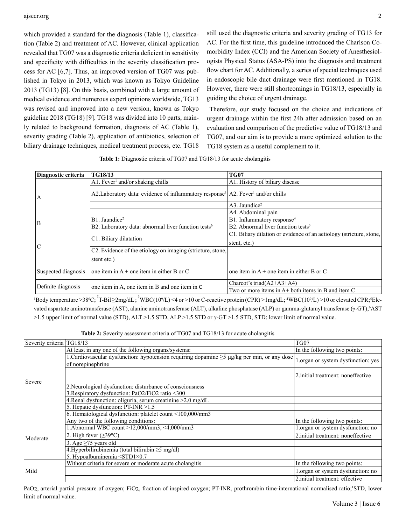which provided a standard for the diagnosis (Table 1), classification (Table 2) and treatment of AC. However, clinical application revealed that TG07 was a diagnostic criteria deficient in sensitivity and specificity with difficulties in the severity classification process for AC [6,7]. Thus, an improved version of TG07 was published in Tokyo in 2013, which was known as Tokyo Guideline 2013 (TG13) [8]. On this basis, combined with a large amount of medical evidence and numerous expert opinions worldwide, TG13 was revised and improved into a new version, known as Tokyo guideline 2018 (TG18) [9]. TG18 was divided into 10 parts, mainly related to background formation, diagnosis of AC (Table 1), severity grading (Table 2), application of antibiotics, selection of biliary drainage techniques, medical treatment process, etc. TG18

still used the diagnostic criteria and severity grading of TG13 for AC. For the first time, this guideline introduced the Charlson Comorbidity Index (CCI) and the American Society of Anesthesiologists Physical Status (ASA-PS) into the diagnosis and treatment flow chart for AC. Additionally, a series of special techniques used in endoscopic bile duct drainage were first mentioned in TG18. However, there were still shortcomings in TG18/13, especially in guiding the choice of urgent drainage.

 Therefore, our study focused on the choice and indications of urgent drainage within the first 24h after admission based on an evaluation and comparison of the predictive value of TG18/13 and TG07, and our aim is to provide a more optimized solution to the TG18 system as a useful complement to it.

**Table 1:** Diagnostic criteria of TG07 and TG18/13 for acute cholangitis

| Diagnostic criteria | TG18/13                                                                                                  | <b>TG07</b>                                                         |
|---------------------|----------------------------------------------------------------------------------------------------------|---------------------------------------------------------------------|
|                     | $A1.$ Fever <sup>1</sup> and/or shaking chills                                                           | A1. History of biliary disease                                      |
| A                   | A2. Laboratory data: evidence of inflammatory response <sup>3</sup> A2. Fever <sup>1</sup> and/or chills |                                                                     |
|                     |                                                                                                          | A3. Jaundice <sup>2</sup>                                           |
|                     |                                                                                                          | A4. Abdominal pain                                                  |
| B                   | B1. Jaundice <sup>2</sup>                                                                                | B1. Inflammatory response <sup>4</sup>                              |
|                     | B2. Laboratory data: abnormal liver function tests <sup>6</sup>                                          | B2. Abnormal liver function tests <sup>5</sup>                      |
|                     |                                                                                                          | C1. Biliary dilation or evidence of an aetiology (stricture, stone, |
|                     | C1. Biliary dilatation                                                                                   | stent, etc.)                                                        |
| $\overline{C}$      | C2. Evidence of the etiology on imaging (stricture, stone,                                               |                                                                     |
|                     | stent etc.)                                                                                              |                                                                     |
| Suspected diagnosis | one item in $A +$ one item in either B or C                                                              | one item in $A +$ one item in either B or C                         |
| Definite diagnosis  |                                                                                                          | Charcot's triad $(A2+A3+A4)$                                        |
|                     | one item in A, one item in B and one item in C                                                           | Two or more items in A+ both items in B and item C                  |

<sup>1</sup>Body temperature >38<sup>o</sup>C; <sup>2</sup>T-Bil >2mg/dL; <sup>3</sup>WBC(10<sup>9</sup>/L) <4 or >10 or C-reactive protein (CPR) >1mg/dL; <sup>4</sup>WBC(10<sup>9</sup>/L) >10 or elevated CPR; <sup>5</sup>Elevated aspartate aminotransferase (AST), alanine aminotransferase (ALT), alkaline phosphatase (ALP) or gamma-glutamyl transferase (γ-GT);<sup>6</sup>AST >1.5 upper limit of normal value (STD), ALT >1.5 STD, ALP >1.5 STD or γ-GT >1.5 STD, STD: lower limit of normal value.

**Table 2:** Severity assessment criteria of TG07 and TG18/13 for acute cholangitis

| Severity criteria   TG18/13 |                                                                                                                       | TG07                               |
|-----------------------------|-----------------------------------------------------------------------------------------------------------------------|------------------------------------|
| Severe                      | At least in any one of the following organs/systems:                                                                  | In the following two points:       |
|                             | 1. Cardiovascular dysfunction: hypotension requiring dopamine $\geq$ $\frac{1}{2}$ $\frac{1}{2}$ per min, or any dose | 1.organ or system dysfunction: yes |
|                             | of norepinephrine                                                                                                     |                                    |
|                             |                                                                                                                       | 2. initial treatment: noneffective |
|                             | 2. Neurological dysfunction: disturbance of consciousness                                                             |                                    |
|                             | 3. Respiratory dysfunction: PaO2/FiO2 ratio <300                                                                      |                                    |
|                             | 4. Renal dysfunction: oliguria, serum creatinine > 2.0 mg/dL                                                          |                                    |
|                             | 5. Hepatic dysfunction: PT-INR > 1.5                                                                                  |                                    |
|                             | 6. Hematological dysfunction: platelet count <100,000/mm3                                                             |                                    |
|                             | Any two of the following conditions:                                                                                  | In the following two points:       |
|                             | 1.Abnormal WBC count >12,000/mm3, <4,000/mm3                                                                          | .organ or system dysfunction: no   |
| Moderate                    | 2. High fever $(\geq 39^{\circ}C)$                                                                                    | 2. initial treatment: noneffective |
|                             | 3. Age $\geq$ 75 years old                                                                                            |                                    |
|                             | 4. Hyperbilirubinemia (total bilirubin $\geq$ 5 mg/dl)                                                                |                                    |
|                             | 5. Hypoalbuminemia $\text{STD1} \times 0.7$                                                                           |                                    |
|                             | Without criteria for severe or moderate acute cholangitis                                                             | In the following two points:       |
| Mild                        |                                                                                                                       | 1.organ or system dysfunction: no  |
|                             |                                                                                                                       | 2. initial treatment: effective    |

PaO2, arterial partial pressure of oxygen; FiO2, fraction of inspired oxygen; PT-INR, prothrombin time-international normalised ratio;<sup>1</sup>STD, lower limit of normal value.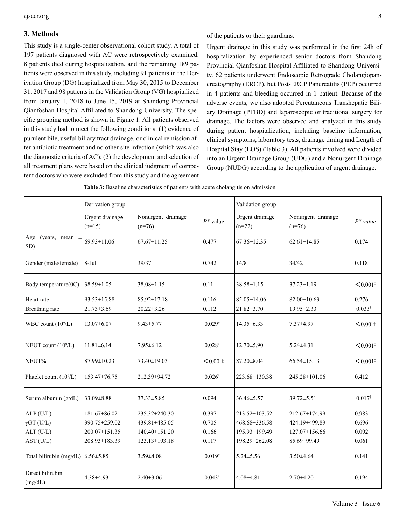#### **3. Methods**

This study is a single-center observational cohort study. A total of 197 patients diagnosed with AC were retrospectively examined. 8 patients died during hospitalization, and the remaining 189 patients were observed in this study, including 91 patients in the Derivation Group (DG) hospitalized from May 30, 2015 to December 31, 2017 and 98 patients in the Validation Group (VG) hospitalized from January 1, 2018 to June 15, 2019 at Shandong Provincial Qianfoshan Hospital Affiliated to Shandong University. The specific grouping method is shown in Figure 1. All patients observed in this study had to meet the following conditions: (1) evidence of purulent bile, useful biliary tract drainage, or clinical remission after antibiotic treatment and no other site infection (which was also the diagnostic criteria of AC); (2) the development and selection of all treatment plans were based on the clinical judgment of competent doctors who were excluded from this study and the agreement

of the patients or their guardians.

Urgent drainage in this study was performed in the first 24h of hospitalization by experienced senior doctors from Shandong Provincial Qianfoshan Hospital Affiliated to Shandong University. 62 patients underwent Endoscopic Retrograde Cholangiopancreatography (ERCP), but Post-ERCP Pancreatitis (PEP) occurred in 4 patients and bleeding occurred in 1 patient. Because of the adverse events, we also adopted Percutaneous Transhepatic Biliary Drainage (PTBD) and laparoscopic or traditional surgery for drainage. The factors were observed and analyzed in this study during patient hospitalization, including baseline information, clinical symptoms, laboratory tests, drainage timing and Length of Hospital Stay (LOS) (Table 3). All patients involved were divided into an Urgent Drainage Group (UDG) and a Nonurgent Drainage Group (NUDG) according to the application of urgent drainage.

|                                                            | Derivation group |                    |                        | Validation group  |                    |                        |  |
|------------------------------------------------------------|------------------|--------------------|------------------------|-------------------|--------------------|------------------------|--|
|                                                            | Urgent drainage  | Nonurgent drainage |                        | Urgent drainage   | Nonurgent drainage |                        |  |
|                                                            | $(n=15)$         | $(n=76)$           | $P^*$ value            | $(n=22)$          | $(n=76)$           | $P^*$ value            |  |
| Age (years, mean $\pm$<br>SD)                              | 69.93±11.06      | $67.67 \pm 11.25$  | 0.477                  | $67.36 \pm 12.35$ | $62.61 \pm 14.85$  | 0.174                  |  |
| Gender (male/female)                                       | $8-Jul$          | 39/37              | 0.742                  | 14/8              | 34/42              | 0.118                  |  |
| Body temperature(0C)                                       | $38.59 \pm 1.05$ | 38.08±1.15         | 0.11                   | $38.58 \pm 1.15$  | $37.23 \pm 1.19$   | $< 0.001$ <sup>*</sup> |  |
| Heart rate                                                 | 93.53±15.88      | $85.92 \pm 17.18$  | 0.116                  | 85.05±14.06       | $82.00 \pm 10.63$  | 0.276                  |  |
| Breathing rate                                             | $21.73 \pm 3.69$ | $20.22 \pm 3.26$   | 0.112                  | 21.82±3.70        | 19.95±2.33         | $0.033^{\dagger}$      |  |
| WBC count $(10^9/L)$<br>$13.07\pm 6.07$<br>$9.43 \pm 5.77$ |                  |                    | $0.029^{\dagger}$      | $14.35\pm 6.33$   | 7.37±4.97          | $< 0.001$ ‡            |  |
| NEUT count (10 <sup>9</sup> /L)                            | $11.81 \pm 6.14$ | $7.95 \pm 6.12$    | $0.028^{\dagger}$      | $12.70 \pm 5.90$  | $5.24 \pm 4.31$    | $< 0.001$ <sup>*</sup> |  |
| NEUT%                                                      | 87.99±10.23      | 73.40±19.03        | $< 0.001$ <sup>1</sup> | 87.20±8.04        | 66.54±15.13        | $< 0.001$ <sup>*</sup> |  |
| Platelet count (10 <sup>9</sup> /L)                        | 153.47±76.75     | 212.39±94.72       | $0.026^{\dagger}$      | 223.68±130.38     | 245.28±101.06      | 0.412                  |  |
| Serum albumin (g/dL)                                       | 33.09 ±8.88      | 37.33±5.85         | 0.094                  | 36.46±5.57        | 39.72±5.51         | $0.017^{\dagger}$      |  |
| $ALP$ (U/L)                                                | 181.67±86.02     | 235.32±240.30      | 0.397                  | 213.52±103.52     | 212.67±174.99      | 0.983                  |  |
| $\gamma$ GT (U/L)                                          | 390.75±259.02    | 439.81±485.05      | 0.705                  | 468.68±336.58     | 424.19±499.89      | 0.696                  |  |
| ALT (U/L)                                                  | 200.07±151.35    | 140.40±151.20      | 0.166                  | 195.93±199.49     | 127.07±156.66      | 0.092                  |  |
| AST (U/L)                                                  | 208.93±183.39    | 123.13±193.18      | 0.117                  | 198.29±262.08     | 85.69±99.49        | 0.061                  |  |
| Total bilirubin (mg/dL) $6.56 \pm 5.85$                    |                  | $3.59 \pm 4.08$    | $0.019^{+}$            | $5.24 \pm 5.56$   | $3.50 \pm 4.64$    | 0.141                  |  |
| Direct bilirubin<br>(mg/dL)                                | 4.38±4.93        | $2.40 \pm 3.06$    | $0.043^{\dagger}$      | 4.08±4.81         | $2.70 \pm 4.20$    | 0.194                  |  |

|  | Table 3: Baseline characteristics of patients with acute cholangitis on admission |  |  |
|--|-----------------------------------------------------------------------------------|--|--|
|  |                                                                                   |  |  |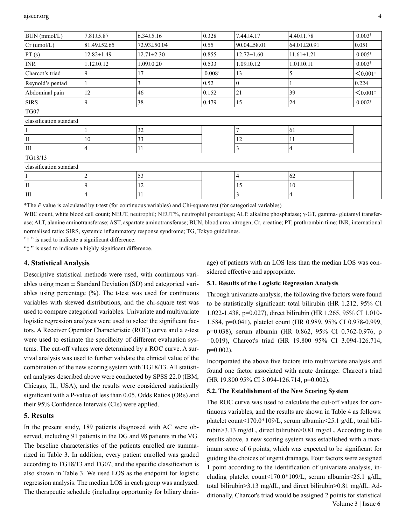| BUN (mmol/L)              | $7.81 \pm 5.87$  | $6.34 \pm 5.16$  | 0.328             | 7.44±4.17        | $4.40 \pm 1.78$  | $0.003^{\dagger}$      |
|---------------------------|------------------|------------------|-------------------|------------------|------------------|------------------------|
| $Cr$ (umol/L)             | 81.49±52.65      | 72.93±50.04      | 0.55              | 90.04±58.01      | 64.01±20.91      | 0.051                  |
| PT(s)                     | $12.82 \pm 1.49$ | $12.71 \pm 2.30$ | 0.855             | $12.72 \pm 1.60$ | $11.61 \pm 1.21$ | $0.005^{\dagger}$      |
| $\ensuremath{\text{INR}}$ | $1.12 \pm 0.12$  | $1.09 \pm 0.20$  | 0.533             | $1.09 \pm 0.12$  | $1.01 \pm 0.11$  | $0.003^{\dagger}$      |
| Charcot's triad           | 9                | 17               | $0.008^{\dagger}$ | 13               | 5                | $< 0.001$ <sup>*</sup> |
| Reynold's pentad          |                  | 3                | 0.52              | $\mathbf{0}$     |                  | 0.224                  |
| Abdominal pain            | 12               | 46               | 0.152             | 21               | 39               | $< 0.001$ <sup>*</sup> |
| <b>SIRS</b>               | 9                | 38               | 0.479             | 15               | 24               | $0.002^{\dagger}$      |
| TG07                      |                  |                  |                   |                  |                  |                        |
| classification standard   |                  |                  |                   |                  |                  |                        |
|                           |                  | 32               |                   | 7                | 61               |                        |
| $\rm II$                  | 10               | 33               |                   | 12               | 11               |                        |
| $\rm III$                 | 4                | 11               |                   | 3                | 4                |                        |
| TG18/13                   |                  |                  |                   |                  |                  |                        |
| classification standard   |                  |                  |                   |                  |                  |                        |
| I                         | 2                | 53               |                   | $\overline{4}$   | 62               |                        |
| $\rm II$                  | 9                | 12               |                   | 15               | 10               |                        |
| $\rm III$                 | 4                | 11               |                   | 3                | 4                |                        |

\*The *P* value is calculated by t-test (for continuous variables) and Chi-square test (for categorical variables)

WBC count, white blood cell count; NEUT, neutrophil; NEUT%, neutrophil percentage; ALP, alkaline phosphatase; γ-GT, gamma- glutamyl transferase; ALT, alanine aminotransferase; AST, aspartate aminotransferase; BUN, blood urea nitrogen; Cr, creatine; PT, prothrombin time; INR, international normalised ratio; SIRS, systemic inflammatory response syndrome; TG, Tokyo guidelines.

"† " is used to indicate a significant difference.

"‡ " is used to indicate a highly significant difference.

#### **4. Statistical Analysis**

Descriptive statistical methods were used, with continuous variables using mean  $\pm$  Standard Deviation (SD) and categorical variables using percentage (%). The t-test was used for continuous variables with skewed distributions, and the chi-square test was used to compare categorical variables. Univariate and multivariate logistic regression analyses were used to select the significant factors. A Receiver Operator Characteristic (ROC) curve and a z-test were used to estimate the specificity of different evaluation systems. The cut-off values were determined by a ROC curve. A survival analysis was used to further validate the clinical value of the combination of the new scoring system with TG18/13. All statistical analyses described above were conducted by SPSS 22.0 (IBM, Chicago, IL, USA), and the results were considered statistically significant with a P-value of less than 0.05. Odds Ratios (ORs) and their 95% Confidence Intervals (CIs) were applied.

#### **5. Results**

In the present study, 189 patients diagnosed with AC were observed, including 91 patients in the DG and 98 patients in the VG. The baseline characteristics of the patients enrolled are summarized in Table 3. In addition, every patient enrolled was graded according to TG18/13 and TG07, and the specific classification is also shown in Table 3. We used LOS as the endpoint for logistic regression analysis. The median LOS in each group was analyzed. The therapeutic schedule (including opportunity for biliary drainage) of patients with an LOS less than the median LOS was considered effective and appropriate.

#### **5.1. Results of the Logistic Regression Analysis**

Through univariate analysis, the following five factors were found to be statistically significant: total bilirubin (HR 1.212, 95% CI 1.022-1.438, p=0.027), direct bilirubin (HR 1.265, 95% CI 1.010- 1.584, p=0.041), platelet count (HR 0.989, 95% CI 0.978-0.999, p=0.038), serum albumin (HR 0.862, 95% CI 0.762-0.976, p =0.019), Charcot's triad (HR 19.800 95% CI 3.094-126.714, p=0.002).

Incorporated the above five factors into multivariate analysis and found one factor associated with acute drainage: Charcot's triad (HR 19.800 95% CI 3.094-126.714, p=0.002).

#### **5.2. The Establishment of the New Scoring System**

 Volume 3 | Issue 6 The ROC curve was used to calculate the cut-off values for continuous variables, and the results are shown in Table 4 as follows: platelet count<170.0\*109/L, serum albumin<25.1 g/dL, total bilirubin>3.13 mg/dL, direct bilirubin>0.81 mg/dL. According to the results above, a new scoring system was established with a maximum score of 6 points, which was expected to be significant for guiding the choices of urgent drainage. Four factors were assigned 1 point according to the identification of univariate analysis, including platelet count<170.0\*109/L, serum albumin<25.1 g/dL, total bilirubin>3.13 mg/dL, and direct bilirubin>0.81 mg/dL. Additionally, Charcot's triad would be assigned 2 points for statistical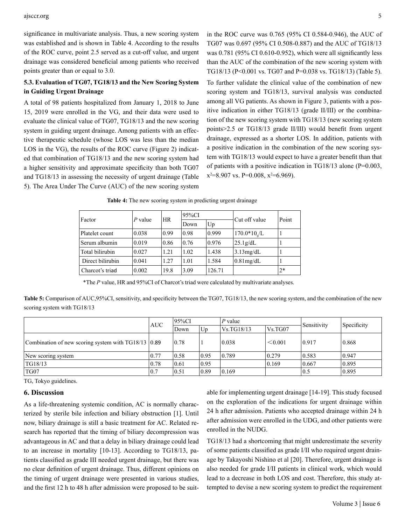#### ajsccr.org 5

significance in multivariate analysis. Thus, a new scoring system was established and is shown in Table 4. According to the results of the ROC curve, point 2.5 served as a cut-off value, and urgent drainage was considered beneficial among patients who received points greater than or equal to 3.0.

### **5.3. Evaluation of TG07, TG18/13 and the New Scoring System in Guiding Urgent Drainage**

A total of 98 patients hospitalized from January 1, 2018 to June 15, 2019 were enrolled in the VG, and their data were used to evaluate the clinical value of TG07, TG18/13 and the new scoring system in guiding urgent drainage. Among patients with an effective therapeutic schedule (whose LOS was less than the median LOS in the VG), the results of the ROC curve (Figure 2) indicated that combination of TG18/13 and the new scoring system had a higher sensitivity and approximate specificity than both TG07 and TG18/13 in assessing the necessity of urgent drainage (Table 5). The Area Under The Curve (AUC) of the new scoring system

in the ROC curve was 0.765 (95% CI 0.584-0.946), the AUC of TG07 was 0.697 (95% CI 0.508-0.887) and the AUC of TG18/13 was 0.781 (95% CI 0.610-0.952), which were all significantly less than the AUC of the combination of the new scoring system with TG18/13 (P<0.001 vs. TG07 and P=0.038 vs. TG18/13) (Table 5).

To further validate the clinical value of the combination of new scoring system and TG18/13, survival analysis was conducted among all VG patients. As shown in Figure 3, patients with a positive indication in either TG18/13 (grade II/III) or the combination of the new scoring system with TG18/13 (new scoring system points>2.5 or TG18/13 grade II/III) would benefit from urgent drainage, expressed as a shorter LOS. In addition, patients with a positive indication in the combination of the new scoring system with TG18/13 would expect to have a greater benefit than that of patients with a positive indication in TG18/13 alone (P=0.003,  $x^2=8.907$  vs. P=0.008,  $x^2=6.969$ ).

| Factor           | $P$ value | <b>HR</b> | 95%CI |        | Cut off value | Point |
|------------------|-----------|-----------|-------|--------|---------------|-------|
|                  |           |           | Down  | Up     |               |       |
| Platelet count   | 0.038     | 0.99      | 0.98  | 0.999  | $170.0*10o/L$ |       |
| Serum albumin    | 0.019     | 0.86      | 0.76  | 0.976  | 25.1g/dL      |       |
| Total bilirubin  | 0.027     | 1.21      | 1.02  | 1.438  | 3.13mg/dL     |       |
| Direct bilirubin | 0.041     | 1.27      | 1.01  | 1.584  | $0.81$ mg/dL  |       |
| Charcot's triad  | 0.002     | 19.8      | 3.09  | 126.71 |               | $2*$  |

**Table 4:** The new scoring system in predicting urgent drainage

\*The *P* value, HR and 95%CI of Charcot's triad were calculated by multivariate analyses.

**Table 5:** Comparison of AUC,95%CI, sensitivity, and specificity between the TG07, TG18/13, the new scoring system, and the combination of the new scoring system with TG18/13

|                                                          |      | 95%CI |         | $ P$ value      |                   | Sensitivity |             |
|----------------------------------------------------------|------|-------|---------|-----------------|-------------------|-------------|-------------|
|                                                          | AUC. | Down  | $U_{D}$ | Vs.TG18/13      | $\sqrt{V}$ s.TG07 |             | Specificity |
| Combination of new scoring system with $T G18/13$ (0.89) |      | 0.78  |         | 0.038           | < 0.001           | 0.917       | 0.868       |
| New scoring system                                       | 0.77 | 0.58  | 0.95    | 0.789           | 0.279             | 0.583       | 0.947       |
| TG18/13                                                  | 0.78 | 0.61  | 0.95    |                 | 0.169             | 0.667       | 0.895       |
| TG07                                                     | 0.7  | 0.51  | 0.89    | $ 0.169\rangle$ |                   | 0.5         | 0.895       |

TG, Tokyo guidelines.

#### **6. Discussion**

As a life-threatening systemic condition, AC is normally characterized by sterile bile infection and biliary obstruction [1]. Until now, biliary drainage is still a basic treatment for AC. Related research has reported that the timing of biliary decompression was advantageous in AC and that a delay in biliary drainage could lead to an increase in mortality [10-13]. According to TG18/13, patients classified as grade III needed urgent drainage, but there was no clear definition of urgent drainage. Thus, different opinions on the timing of urgent drainage were presented in various studies, and the first 12 h to 48 h after admission were proposed to be suitable for implementing urgent drainage [14-19]. This study focused on the exploration of the indications for urgent drainage within 24 h after admission. Patients who accepted drainage within 24 h after admission were enrolled in the UDG, and other patients were enrolled in the NUDG.

TG18/13 had a shortcoming that might underestimate the severity of some patients classified as grade I/II who required urgent drainage by Takayoshi Nishino et al [20]. Therefore, urgent drainage is also needed for grade I/II patients in clinical work, which would lead to a decrease in both LOS and cost. Therefore, this study attempted to devise a new scoring system to predict the requirement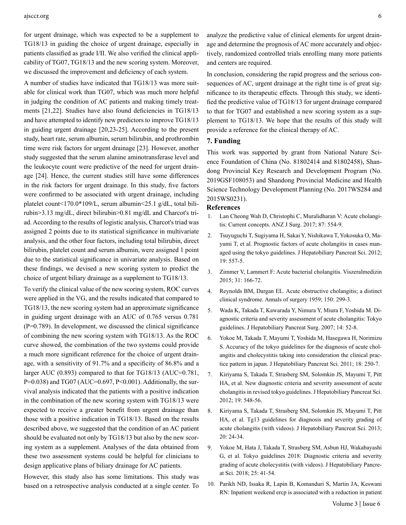#### ajsccr.org 6

for urgent drainage, which was expected to be a supplement to TG18/13 in guiding the choice of urgent drainage, especially in patients classified as grade I/II. We also verified the clinical applicability of TG07, TG18/13 and the new scoring system. Moreover, we discussed the improvement and deficiency of each system.

A number of studies have indicated that TG18/13 was more suitable for clinical work than TG07, which was much more helpful in judging the condition of AC patients and making timely treatments [21,22]. Studies have also found deficiencies in TG18/13 and have attempted to identify new predictors to improve TG18/13 in guiding urgent drainage [20,23-25]. According to the present study, heart rate, serum albumin, serum bilirubin, and prothrombin time were risk factors for urgent drainage [23]. However, another study suggested that the serum alanine aminotransferase level and the leukocyte count were predictive of the need for urgent drainage [24]. Hence, the current studies still have some differences in the risk factors for urgent drainage. In this study, five factors were confirmed to be associated with urgent drainage, including platelet count<170.0\*109/L, serum albumin<25.1 g/dL, total bilirubin>3.13 mg/dL, direct bilirubin>0.81 mg/dL and Charcot's triad. According to the results of logistic analysis, Charcot's triad was assigned 2 points due to its statistical significance in multivariate analysis, and the other four factors, including total bilirubin, direct bilirubin, platelet count and serum albumin, were assigned 1 point due to the statistical significance in univariate analysis. Based on these findings, we devised a new scoring system to predict the choice of urgent biliary drainage as a supplement to TG18/13.

To verify the clinical value of the new scoring system, ROC curves were applied in the VG, and the results indicated that compared to TG18/13, the new scoring system had an approximate significance in guiding urgent drainage with an AUC of 0.765 versus 0.781  $(P=0.789)$ . In development, we discussed the clinical significance of combining the new scoring system with TG18/13. As the ROC curve showed, the combination of the two systems could provide a much more significant reference for the choice of urgent drainage, with a sensitivity of 91.7% and a specificity of 86.8% and a larger AUC (0.893) compared to that for TG18/13 (AUC=0.781, P=0.038) and TG07 (AUC=0.697, P<0.001). Additionally, the survival analysis indicated that the patients with a positive indication in the combination of the new scoring system with TG18/13 were expected to receive a greater benefit from urgent drainage than those with a positive indication in TG18/13. Based on the results described above, we suggested that the condition of an AC patient should be evaluated not only by TG18/13 but also by the new scoring system as a supplement. Analyses of the data obtained from these two assessment systems could be helpful for clinicians to design applicative plans of biliary drainage for AC patients.

However, this study also has some limitations. This study was based on a retrospective analysis conducted at a single center. To analyze the predictive value of clinical elements for urgent drainage and determine the prognosis of AC more accurately and objectively, randomized controlled trials enrolling many more patients and centers are required.

In conclusion, considering the rapid progress and the serious consequences of AC, urgent drainage at the right time is of great significance to its therapeutic effects. Through this study, we identified the predictive value of TG18/13 for urgent drainage compared to that for TG07 and established a new scoring system as a supplement to TG18/13. We hope that the results of this study will provide a reference for the clinical therapy of AC.

#### **7. Funding**

This work was supported by grant from National Nature Science Foundation of China (No. 81802414 and 81802458), Shandong Provincial Key Research and Development Program (No. 2019GSF108053) and Shandong Provincial Medicine and Health Science Technology Development Planning (No. 2017WS284 and 2015WS0231).

#### **References**

- 1. [Lan Cheong Wah D, Christophi C, Muralidharan V: Acute cholangi](https://pubmed.ncbi.nlm.nih.gov/28337833/)[tis: Current concepts. ANZ J Surg. 2017; 87: 554-9.](https://pubmed.ncbi.nlm.nih.gov/28337833/)
- 2. [Tsuyuguchi T, Sugiyama H, Sakai Y, Nishikawa T, Yokosuka O, Ma](https://pubmed.ncbi.nlm.nih.gov/22825492/)[yumi T, et al. Prognostic factors of acute cholangitis in cases man](https://pubmed.ncbi.nlm.nih.gov/22825492/)[aged using the tokyo guidelines. J Hepatobiliary Pancreat Sci. 2012;](https://pubmed.ncbi.nlm.nih.gov/22825492/) [19: 557-5.](https://pubmed.ncbi.nlm.nih.gov/22825492/)
- 3. Zimmer V, Lammert F: Acute bacterial cholangitis. Viszeralmedizin 2015; 31: 166-72.
- 4. [Reynolds BM, Dargan EL. Acute obstructive cholangitis; a distinct](https://pubmed.ncbi.nlm.nih.gov/13670595/) [clinical syndrome. Annals of surgery 1959; 150: 299-3.](https://pubmed.ncbi.nlm.nih.gov/13670595/)
- 5. [Wada K, Takada T, Kawarada Y, Nimura Y, Miura F, Yoshida M. Di](https://pubmed.ncbi.nlm.nih.gov/17252297/)[agnostic criteria and severity assessment of acute cholangitis: Tokyo](https://pubmed.ncbi.nlm.nih.gov/17252297/) [guidelines. J Hepatobiliary Pancreat Surg. 2007; 14: 52-8.](https://pubmed.ncbi.nlm.nih.gov/17252297/)
- 6. [Yokoe M, Takada T, Mayumi T, Yoshida M, Hasegawa H, Norimizu](https://pubmed.ncbi.nlm.nih.gov/21042814/) [S. Accuracy of the tokyo guidelines for the diagnosis of acute chol](https://pubmed.ncbi.nlm.nih.gov/21042814/)[angitis and cholecystitis taking into consideration the clinical prac](https://pubmed.ncbi.nlm.nih.gov/21042814/)[tice pattern in japan. J Hepatobiliary Pancreat Sci. 2011; 18: 250-](https://pubmed.ncbi.nlm.nih.gov/21042814/)7.
- 7. [Kiriyama S, Takada T, Strasberg SM, Solomkin JS, Mayumi T, Pitt](https://pubmed.ncbi.nlm.nih.gov/22825491/) [HA, et al. New diagnostic criteria and severity assessment of acute](https://pubmed.ncbi.nlm.nih.gov/22825491/) [cholangitis in revised tokyo guidelines. J Hepatobiliary Pancreat Sci.](https://pubmed.ncbi.nlm.nih.gov/22825491/) [2012; 19: 548-56.](https://pubmed.ncbi.nlm.nih.gov/22825491/)
- 8. [Kiriyama S, Takada T, Strasberg SM, Solomkin JS, Mayumi T, Pitt](https://pubmed.ncbi.nlm.nih.gov/23307001/) [HA, et al. Tg13 guidelines for diagnosis and severity grading of](https://pubmed.ncbi.nlm.nih.gov/23307001/) [acute cholangitis \(with videos\). J Hepatobiliary Pancreat Sci. 2013;](https://pubmed.ncbi.nlm.nih.gov/23307001/) [20: 24-34.](https://pubmed.ncbi.nlm.nih.gov/23307001/)
- 9. [Yokoe M, Hata J, Takada T, Strasberg SM, Asbun HJ, Wakabayashi](https://pubmed.ncbi.nlm.nih.gov/29032636/) [G, et al. Tokyo guidelines 2018: Diagnostic criteria and severity](https://pubmed.ncbi.nlm.nih.gov/29032636/) [grading of acute cholecystitis \(with videos\). J Hepatobiliary Pancre](https://pubmed.ncbi.nlm.nih.gov/29032636/)[at Sci. 2018; 25: 41-54](https://pubmed.ncbi.nlm.nih.gov/29032636/).
- 10. [Parikh ND, Issaka R, Lapin B, Komanduri S, Martin JA, Keswani](https://pubmed.ncbi.nlm.nih.gov/24145679/) [RN: Inpatient weekend ercp is associated with a reduction in patient](https://pubmed.ncbi.nlm.nih.gov/24145679/)